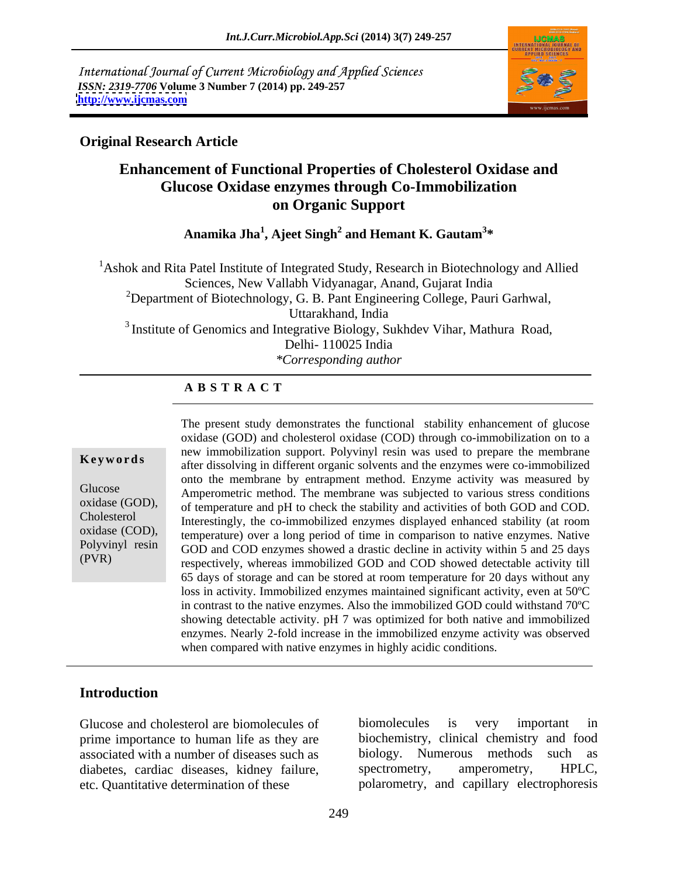International Journal of Current Microbiology and Applied Sciences *ISSN: 2319-7706* **Volume 3 Number 7 (2014) pp. 249-257 <http://www.ijcmas.com>**



### **Original Research Article**

# **Enhancement of Functional Properties of Cholesterol Oxidase and Glucose Oxidase enzymes through Co-Immobilization on Organic Support**

**Anamika Jha<sup>1</sup> , Ajeet Singh<sup>2</sup> and Hemant K. Gautam<sup>3</sup> \***

<sup>1</sup> Ashok and Rita Patel Institute of Integrated Study, Research in Biotechnology and Allied Sciences, New Vallabh Vidyanagar, Anand, Gujarat India <sup>2</sup>Department of Biotechnology, G. B. Pant Engineering College, Pauri Garhwal, Uttarakhand, India <sup>3</sup> Institute of Genomics and Integrative Biology, Sukhdev Vihar, Mathura Road, Delhi- 110025 India *\*Corresponding author*

### **A B S T R A C T**

**Keywords** after dissolving in different organic solvents and the enzymes were co-immobilized Glucose<br>Amperometric method. The membrane was subjected to various stress conditions oxidase (GOD), of temperature and pH to check the stability and activities of both GOD and COD. Cholesterol Interestingly, the co-immobilized enzymes displayed enhanced stability (at room oxidase (COD), temperature) over a long period of time in comparison to native enzymes. Native Polyvinyl resin GOD and COD enzymes showed a drastic decline in activity within 5 and 25 days (PVR) respectively, whereas immobilized GOD and COD showed detectable activity till The present study demonstrates the functional stability enhancement of glucose oxidase (GOD) and cholesterol oxidase (COD) through co-immobilization on to a new immobilization support. Polyvinyl resin was used to prepare the membrane onto the membrane by entrapment method. Enzyme activity was measured by 65 days of storage and can be stored at room temperature for 20 days without any loss in activity. Immobilized enzymes maintained significant activity, even at 50ºC in contrast to the native enzymes. Also the immobilized GOD could withstand 70ºC showing detectable activity. pH 7 was optimized for both native and immobilized enzymes. Nearly 2-fold increase in the immobilized enzyme activity was observed when compared with native enzymes in highly acidic conditions.

## **Introduction**

prime importance to human life as they are associated with a number of diseases such as biology. Numerous methods such as diabetes, cardiac diseases, kidney failure, spectrometry, amperometry, HPLC, etc. Quantitative determination of these polarometry, and capillary electrophoresis

Glucose and cholesterol are biomolecules of biomolecules is very important in biomolecules is very important in biochemistry, clinical chemistry and food biology. Numerous methods spectrometry, amperometry, HPLC,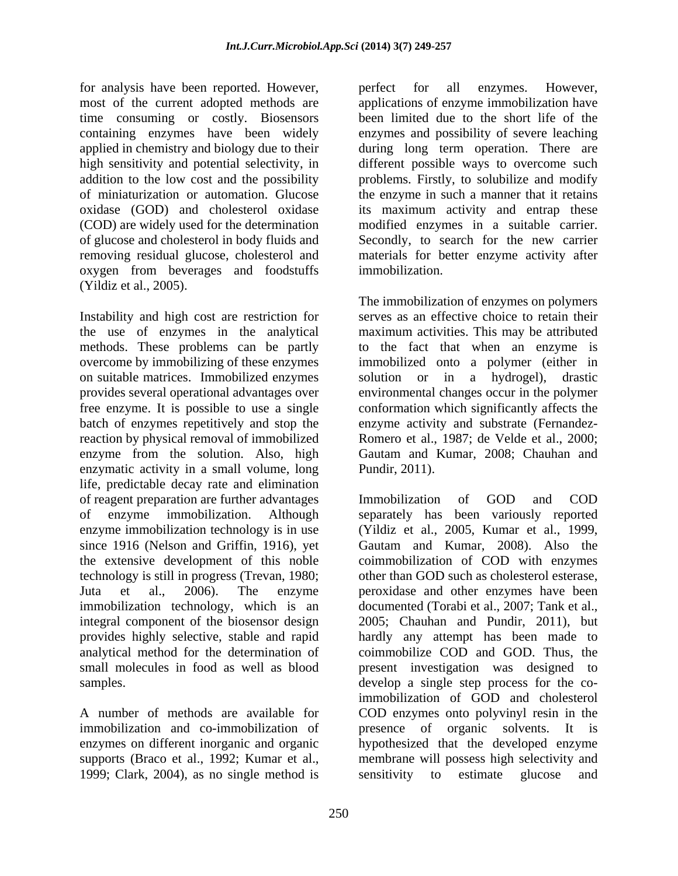for analysis have been reported. However, erefect for all enzymes. However, most of the current adopted methods are applications of enzyme immobilization have time consuming or costly. Biosensors containing enzymes have been widely enzymes and possibility of severe leaching applied in chemistry and biology due to their during long term operation. There are high sensitivity and potential selectivity, in different possible ways to overcome such addition to the low cost and the possibility problems. Firstly, to solubilize and modify of miniaturization or automation. Glucose the enzyme in such a manner that it retains oxidase (GOD) and cholesterol oxidase its maximum activity and entrap these (COD) are widely used for the determination modified enzymes in a suitable carrier. of glucose and cholesterol in body fluids and Secondly, to search for the new carrier removing residual glucose, cholesterol and materials for better enzyme activity after oxygen from beverages and foodstuffs (Yildiz et al., 2005).

Instability and high cost are restriction for serves as an effective choice to retain their the use of enzymes in the analytical maximum activities. This may be attributed methods. These problems can be partly to the fact that when an enzyme is overcome by immobilizing of these enzymes immobilized onto a polymer (either in on suitable matrices. Immobilized enzymes solution or in a hydrogel), drastic provides several operational advantages over environmental changes occur in the polymer free enzyme. It is possible to use a single conformation which significantly affects the batch of enzymes repetitively and stop the reaction by physical removal of immobilized Romero et al., 1987; de Velde et al., 2000; enzyme from the solution. Also, high Gautam and Kumar, 2008; Chauhan and enzymatic activity in a small volume, long life, predictable decay rate and elimination of reagent preparation are further advantages enzyme immobilization technology is in use (Yildiz et al., 2005, Kumar et al., 1999, since 1916 (Nelson and Griffin, 1916), yet Gautam and Kumar, 2008). Also the technology is still in progress (Trevan, 1980; small molecules in food as well as blood

immobilization and co-immobilization of the presence of organic solvents. It is supports (Braco et al., 1992; Kumar et al., 1999; Clark, 2004), as no single method is sensitivity to estimate glucose and

perfect for all enzymes. However, been limited due to the short life of the immobilization.

The immobilization of enzymes on polymers solution or in a hydrogel), drastic enzyme activity and substrate (Fernandez- Pundir, 2011).

of enzyme immobilization. Although separately has been variously reported the extensive development of this noble coimmobilization of COD with enzymes Juta et al., 2006). The enzyme peroxidase and other enzymes have been immobilization technology, which is an documented (Torabi et al., 2007; Tank et al., integral component of the biosensor design 2005; Chauhan and Pundir, 2011), but provides highly selective, stable and rapid hardly any attempt has been made to analytical method for the determination of coimmobilize COD and GOD. Thus, the samples. develop a single step process for the co-A number of methods are available for COD enzymes onto polyvinyl resin in the enzymes on different inorganic and organic hypothesized that the developed enzyme Immobilization of GOD and COD (Yildiz et al., 2005, Kumar et al., 1999, Gautam and Kumar, 2008). Also the other than GOD such as cholesterol esterase, present investigation was designed to immobilization of GOD and cholesterol presence of organic solvents. membrane will possess high selectivity and sensitivity to estimate glucose and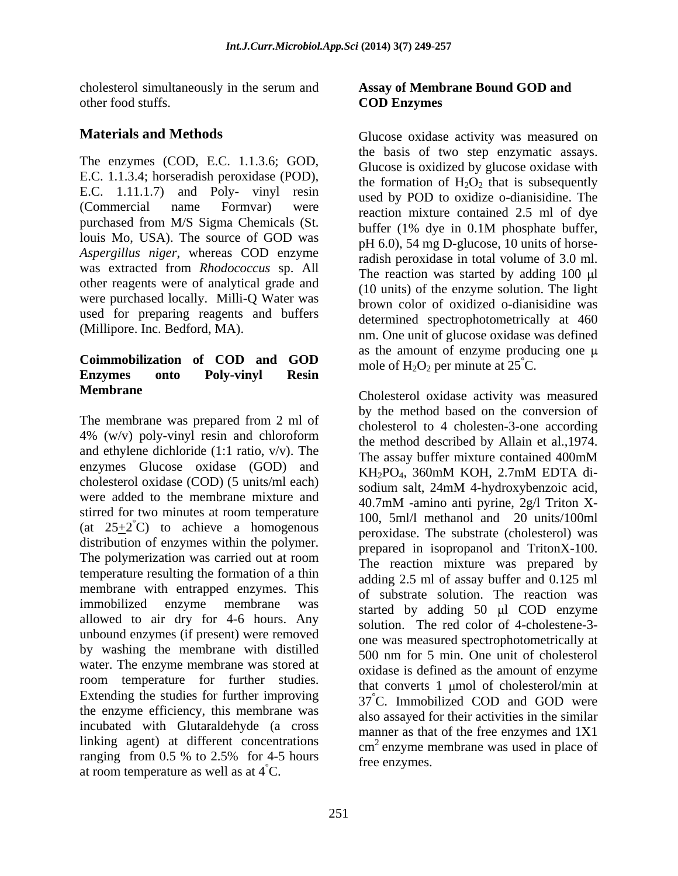cholesterol simultaneously in the serum and other food stuffs. COD Enzymes

E.C. 1.1.3.4; horseradish peroxidase (POD), E.C. 1.11.1.7) and Poly- vinyl resin (Commercial name Formvar) were reaction mixture contained 2.5 ml of dye purchased from M/S Sigma Chemicals (St. louis Mo, USA). The source of GOD was *Aspergillus niger*, whereas COD enzyme was extracted from *Rhodococcus* sp. All other reagents were of analytical grade and were purchased locally. Milli-Q Water was used for preparing reagents and buffers

# **Coimmobilization of COD and GOD Enzymes onto Poly-vinyl Resin Membrane** Cholesterol oxidase activity was measured

The membrane was prepared from 2 ml of  $4\%$  (w/v) poly-vinyl resin and chloroform the method described by Allain et al., 1974. and ethylene dichloride (1:1 ratio,  $v/v$ ). The The assay buffer mixture contained 400mM enzymes Glucose oxidase (GOD) and KH<sub>2</sub>PO<sub>4</sub>, 360mM KOH, 2.7mM EDTA dicholesterol oxidase (COD) (5 units/ml each)<br>sodium salt, 24mM 4-hydroxybenzoic acid, were added to the membrane mixture and stirred for two minutes at room temperature distribution of enzymes within the polymer. The polymerization was carried out at room temperature resulting the formation of a thin membrane with entrapped enzymes. This allowed to air dry for 4-6 hours. Any unbound enzymes (if present) were removed by washing the membrane with distilled water. The enzyme membrane was stored at room temperature for further studies. Extending the studies for further improving  $37^{\circ}$ C. Immobilized COD and GOD were the enzyme efficiency, this membrane was incubated with Glutaraldehyde (a cross linking agent) at different concentrations at room temperature as well as at  $4^{\circ}$ C.

### **Assay of Membrane Bound GOD and COD Enzymes**

**Materials and Methods Clucose oxidase activity was measured on** The enzymes (COD, E.C. 1.1.3.6; GOD, the basis of two step enzymatic assays.<br>Glucose is oxidized by glucose oxidase with (Millipore. Inc. Bedford, MA). 
nm. One unit of glucose oxidase was defined the basis of two step enzymatic assays. Glucose is oxidized by glucose oxidase with the formation of  $H_2O_2$  that is subsequently used by POD to oxidize o-dianisidine. The buffer (1% dye in 0.1M phosphate buffer, pH 6.0), 54 mg D-glucose, 10 units of horseradish peroxidase in total volume of 3.0 ml. The reaction was started by adding  $100 \mu l$ (10 units) of the enzyme solution. The light brown color of oxidized o-dianisidine was determined spectrophotometrically at 460 as the amount of enzyme producing one  $\mu$ mole of  $H_2O_2$  per minute at  $25^{\circ}$ C.

(at  $25\pm2^{\circ}$ C) to achieve a homogenous  $100, 5$  m/1 including and 20 units/1001iii immobilized enzyme membrane was started by adding 50 µl COD enzyme ranging from  $0.5\%$  to  $2.5\%$  for  $4-5$  hours free enzymes Cholesterol oxidase activity was measured by the method based on the conversion of cholesterol to 4 cholesten-3-one according the method described by Allain et al.,1974. The assay buffer mixture contained 400mM KH2PO4, 360mM KOH, 2.7mM EDTA di sodium salt, 24mM 4-hydroxybenzoic acid, 40.7mM -amino anti pyrine, 2g/l Triton X- 100, 5ml/l methanol and 20 units/100ml peroxidase. The substrate (cholesterol) was prepared in isopropanol and TritonX-100. The reaction mixture was prepared by adding 2.5 ml of assay buffer and 0.125 ml of substrate solution. The reaction was solution. The red color of 4-cholestene-3 one was measured spectrophotometrically at 500 nm for 5 min. One unit of cholesterol oxidase is defined as the amount of enzyme that converts  $1 \text{ \mu}$  umol of cholesterol/min at 37°C. Immobilized COD and GOD were also assayed for their activities in the similar manner as that of the free enzymes and 1X1 cm 2 enzyme membrane was used in place of free enzymes.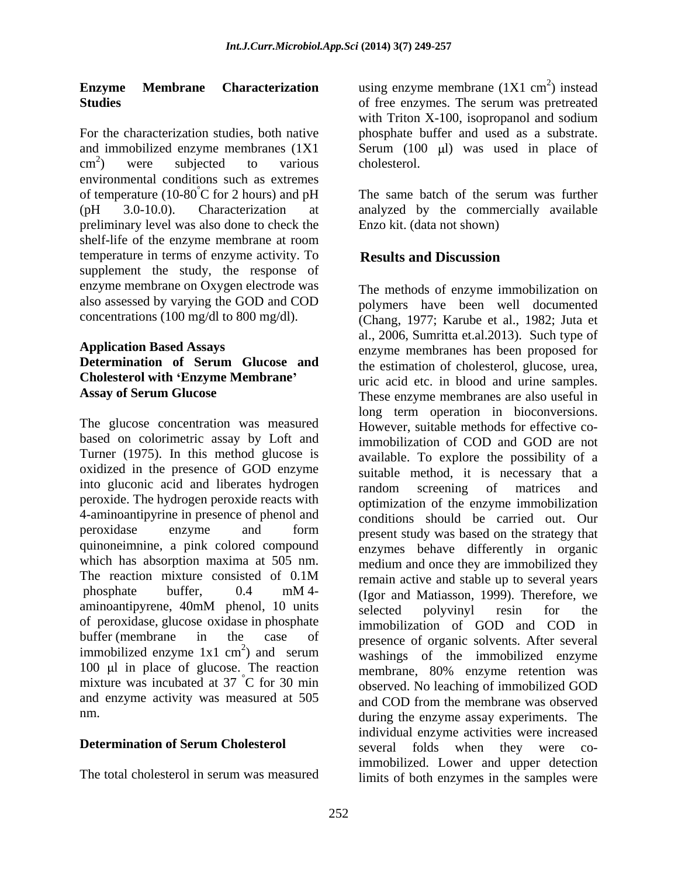environmental conditions such as extremes of temperature (10-80 $\degree$ C for 2 hours) and pH The same batch of the serum was further (pH 3.0-10.0). Characterization at analyzed by the commercially available preliminary level was also done to check the shelf-life of the enzyme membrane at room temperature in terms of enzyme activity. To **Results and Discussion** supplement the study, the response of enzyme membrane on Oxygen electrode was

# **Determination of Serum Glucose and Cholesterol with 'Enzyme Membrane'** uric acid etc. in blood and urine samples.

The glucose concentration was measured based on colorimetric assay by Loft and Turner (1975). In this method glucose is into gluconic acid and liberates hydrogen random screening of matrices and peroxide. The hydrogen peroxide reacts with 4-aminoantipyrine in presence of phenol and quinoneimnine, a pink colored compound which has absorption maxima at 505 nm. aminoantipyrene, 40mM phenol, 10 units selected polyvinyl resin for the of peroxidase, glucose oxidase in phosphate immobilized enzyme  $1x1 \text{ cm}^2$  and serum 100  $\mu$ l in place of glucose. The reaction mixture was incubated at 37 °C for 30 min and enzyme activity was measured at 505 and COD from the membrane was observed

**Enzyme Membrane Characterization** using enzyme membrane (1X1 cm<sup>2</sup>) instead **Studies** of free enzymes. The serum was pretreated For the characterization studies, both native phosphate buffer and used as a substrate. and immobilized enzyme membranes  $(1X1 \qquad \text{Serum} \t(100 \text{ µl})$  was used in place of  $\text{cm}^2$ ) were subjected to various cholesterol.  $^{2}$  were subjected to verious cholectoral ) were subjected to various  $^{2}$  instead ) instead with Triton X-100, isopropanol and sodium cholesterol.

> The same batch of the serum was further Enzo kit. (data not shown)

# **Results and Discussion**

also assessed by varying the GOD and COD polymers have been well documented concentrations (100 mg/dl to 800 mg/dl). (Chang, 1977; Karube et al., 1982; Juta et **Application Based Assays** enzyme membranes has been proposed for **Assay of Serum Glucose** These enzyme membranes are also useful in oxidized in the presence of GOD enzyme suitable method, it is necessary that a peroxidase enzyme and form <sub>present study was based on the strategy that</sub> The reaction mixture consisted of 0.1M remain active and stable up to several vears phosphate buffer,  $0.4 \text{ mM}$ <sup>4-</sup> (Leger and Matiasson 1999) Therefore we buffer (membrane in the case of presence of organic solvents. After several  $\frac{2}{2}$  and serum  $\frac{1}{2}$  and  $\frac{2}{2}$  and  $\frac{2}{2}$  and  $\frac{2}{2}$  and  $\frac{2}{2}$ ) and serum washing of the immobilized enzyme mixture was incubated at 37 °C for 30 min between No leaching of immobilized GOD nm. during the enzyme assay experiments. The **Determination of Serum Cholesterol** several folds when they were co-The total cholesterol in serum was measured in initiation in the samples were The methods of enzyme immobilization on al., 2006, Sumritta et.al.2013). Such type of the estimation of cholesterol, glucose, urea, uric acid etc. in blood and urine samples. These enzyme membranes are also useful in long term operation in bioconversions. However, suitable methods for effective coimmobilization of COD and GOD are not available. To explore the possibility of a random screening of matrices and optimization of the enzyme immobilization conditions should be carried out. Our present study was based on the strategy that enzymes behave differently in organic medium and once they are immobilized they remain active and stable up to several years (Igor and Matiasson, 1999). Therefore, we selected polyvinyl resin for the immobilization of GOD and COD in washings of the immobilized enzyme membrane, 80% enzyme retention was and COD from the membrane was observed individual enzyme activities were increased several folds when they were coimmobilized. Lower and upper detection limits of both enzymes in the samples were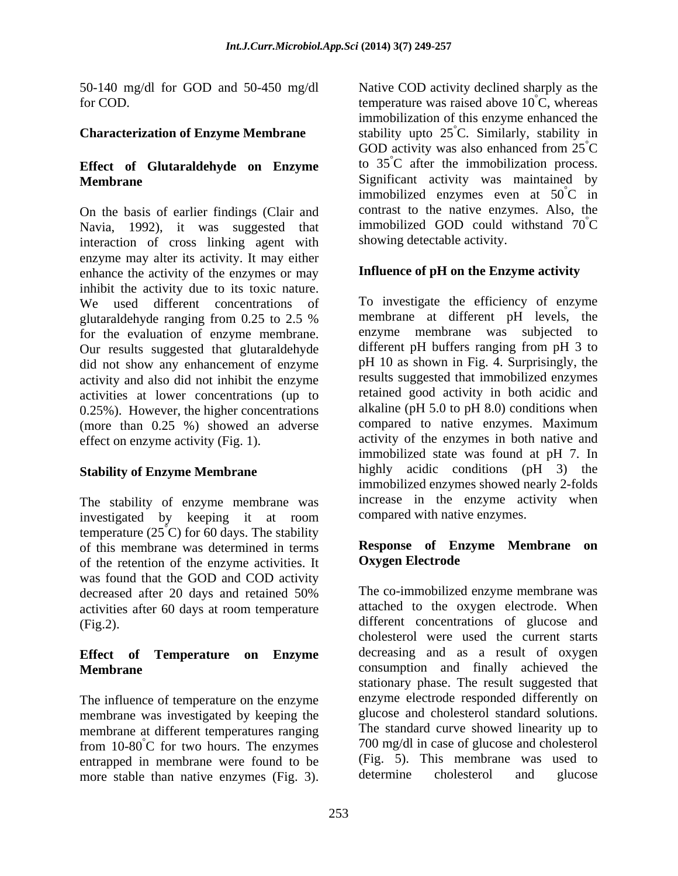### **Characterization of Enzyme Membrane**

# **Effect of Glutaraldehyde on Enzyme**

On the basis of earlier findings (Clair and Navia, 1992), it was suggested that interaction of cross linking agent with enzyme may alter its activity. It may either enhance the activity of the enzymes or may inhibit the activity due to its toxic nature. We used different concentrations of for the evaluation of enzyme membrane. Our results suggested that glutaraldehyde did not show any enhancement of enzyme activity and also did not inhibit the enzyme activities at lower concentrations (up to 0.25%). However, the higher concentrations (more than 0.25 %) showed an adverse

The stability of enzyme membrane was investigated by keeping it at room temperature (25 $\degree$ C) for 60 days. The stability of this membrane was determined in terms<br>of the retention of the enzyme activities It<br> **Oxygen Electrode** of the retention of the enzyme activities. It was found that the GOD and COD activity activities after 60 days at room temperature

The influence of temperature on the enzyme membrane was investigated by keeping the membrane at different temperatures ranging from  $10-80^{\circ}$ C for two hours. The enzymes entrapped in membrane were found to be  $(Fig. 5)$ . This membrane was used to more stable than native enzymes  $(Fig. 3)$  determine cholesterol and glucose more stable than native enzymes (Fig. 3).

50-140 mg/dl for GOD and 50-450 mg/dl Native COD activity declined sharply as the for COD. temperature was raised above  $10^{\circ}$ C, whereas **Membrane Significant** activity was maintained by °C, whereas immobilization of this enzyme enhanced the stability upto  $25^{\circ}$ C. Similarly, stability in °C. Similarly, stability in GOD activity was also enhanced from  $25^{\circ}$ C  $\rm^{\circ}C$ to 35 °C after the immobilization process. immobilized enzymes even at  $50^{\circ}$ C in  $\overline{C}$  in contrast to the native enzymes. Also, the immobilized GOD could withstand  $70^{\circ}$ C  $\rm^{\circ}C$ showing detectable activity.

## **Influence of pH on the Enzyme activity**

glutaraldehyde ranging from 0.25 to 2.5 % membrane at different pH levels, the effect on enzyme activity (Fig. 1). activity of the enzymes in both native and **Stability of Enzyme Membrane**  highly acidic conditions (pH 3) the To investigate the efficiency of enzyme membrane at different pH levels, the enzyme membrane was subjected to different pH buffers ranging from pH 3 to pH 10 as shown in Fig. 4. Surprisingly, the results suggested that immobilized enzymes retained good activity in both acidic and alkaline (pH 5.0 to pH 8.0) conditions when compared to native enzymes. Maximum immobilized state was found at pH 7. In immobilized enzymes showed nearly 2-folds increase in the enzyme activity when compared with native enzymes.

### **Response of Enzyme Membrane on Oxygen Electrode**

decreased after 20 days and retained 50% The co-immobilized enzyme membrane was (Fig.2). different concentrations of glucose and **Effect of Temperature on Enzyme** decreasing and as a result of oxygen **Membrane**  consumption and finally achieved the The co-immobilized enzyme membrane was attached to the oxygen electrode. When cholesterol were used the current starts stationary phase. The result suggested that enzyme electrode responded differently on glucose and cholesterol standard solutions. The standard curve showed linearity up to 700 mg/dl in case of glucose and cholesterol (Fig. 5). This membrane was used to determine cholesterol and glucose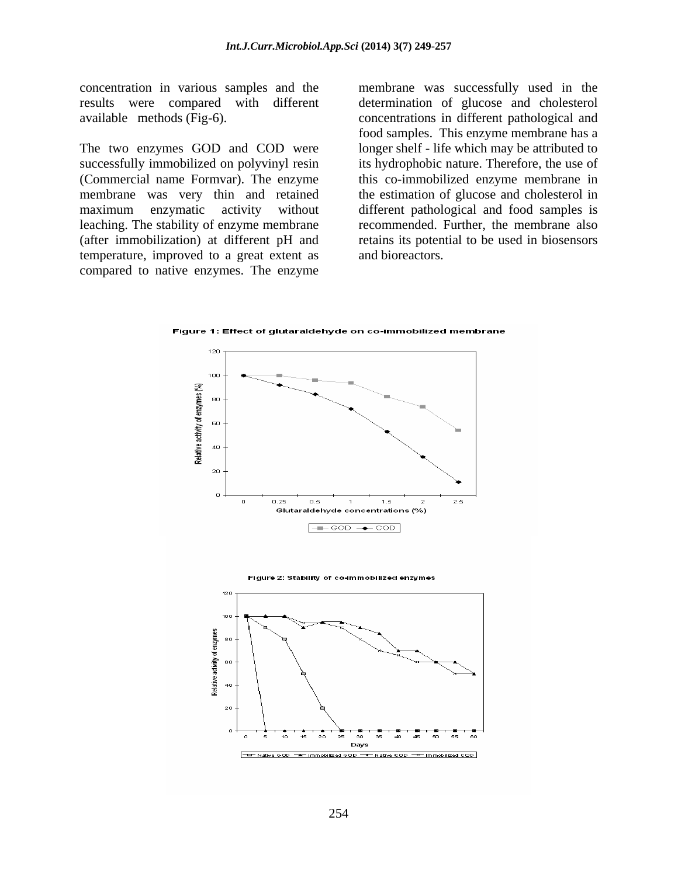concentration in various samples and the membrane was successfully used in the results were compared with different determination of glucose and cholesterol

successfully immobilized on polyvinyl resin its hydrophobic nature. Therefore, the use of (Commercial name Formvar). The enzyme this co-immobilized enzyme membrane in membrane was very thin and retained the estimation of glucose and cholesterol in maximum enzymatic activity without different pathological and food samples is leaching. The stability of enzyme membrane recommended. Further, the membrane also (after immobilization) at different pH and retains its potential to be used in biosensors temperature, improved to a great extent as compared to native enzymes. The enzyme

available methods (Fig-6). concentrations in different pathological and food samples. This enzyme membrane has a<br>The two enzymes GOD and COD were longer shelf - life which may be attributed to food samples. This enzyme membrane has a longer shelf - life which may be attributed to and bioreactors.

Figure 1: Effect of glutaraldehyde on co-immobilized membrane



Figure 2: Stability of co-immobilized enzymes

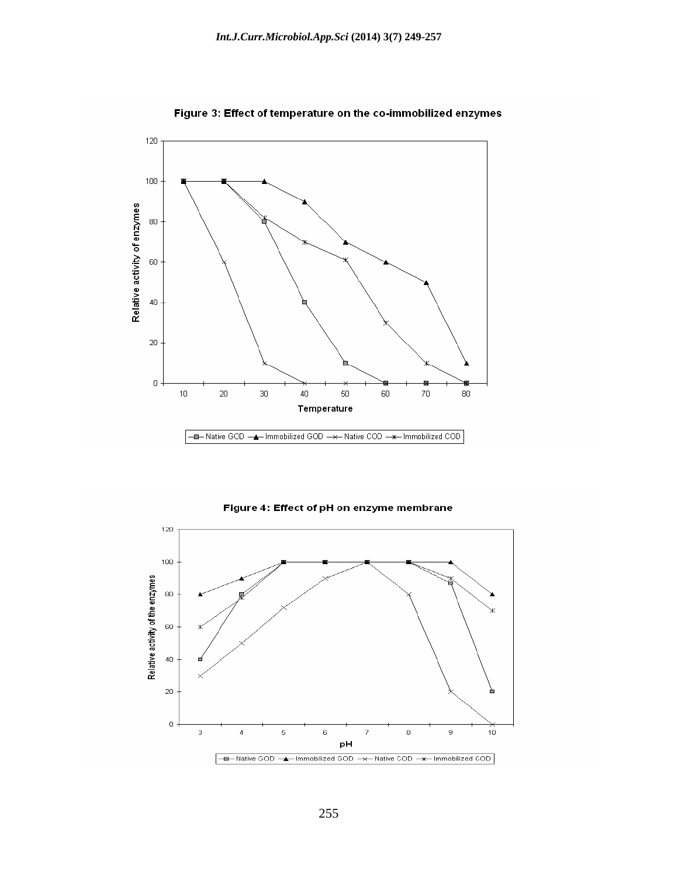

Figure 3: Effect of temperature on the co-immobilized enzymes



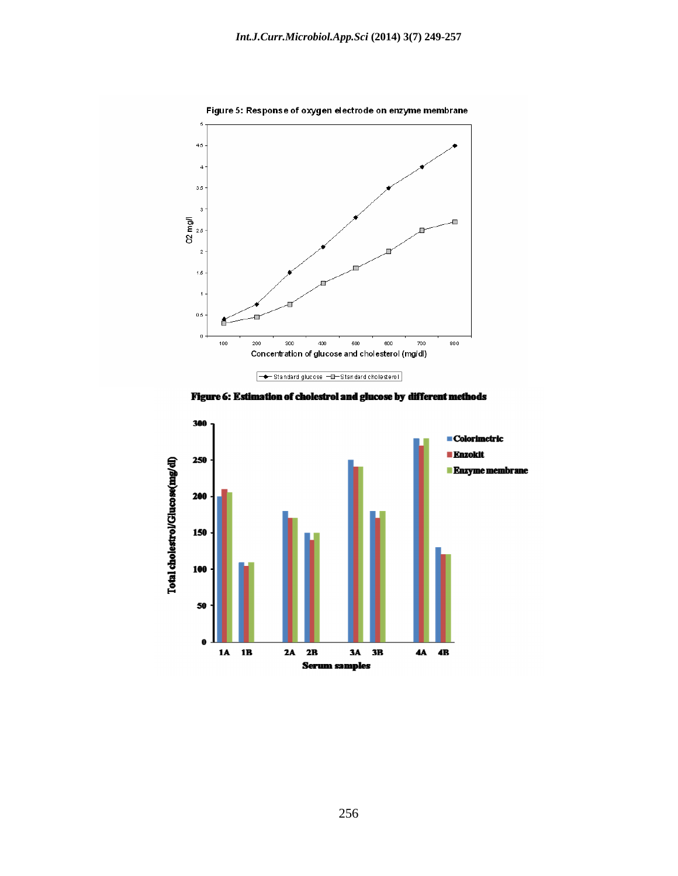